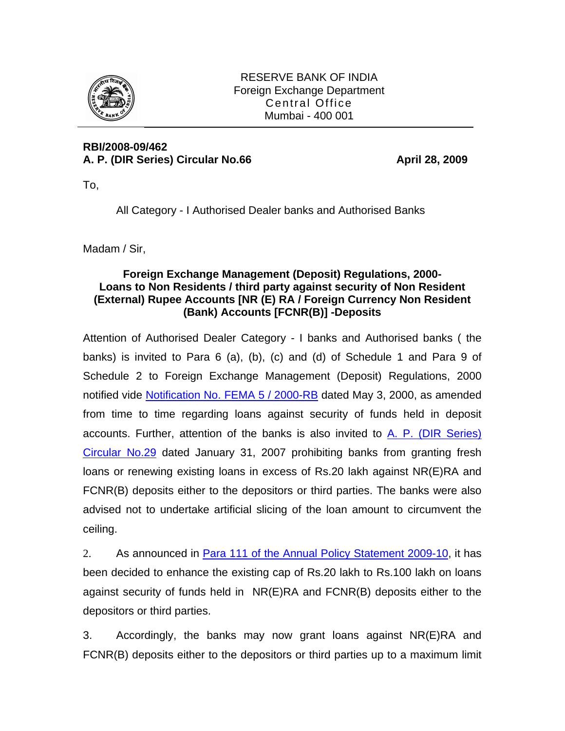

RESERVE BANK OF INDIA Foreign Exchange Department Central Office Mumbai - 400 001

## **RBI/2008-09/462**  A. P. (DIR Series) Circular No.66 **April 28, 2009**

To,

All Category - I Authorised Dealer banks and Authorised Banks

Madam / Sir,

## **Foreign Exchange Management (Deposit) Regulations, 2000- Loans to Non Residents / third party against security of Non Resident (External) Rupee Accounts [NR (E) RA / Foreign Currency Non Resident (Bank) Accounts [FCNR(B)] -Deposits**

Attention of Authorised Dealer Category - I banks and Authorised banks ( the banks) is invited to Para 6 (a), (b), (c) and (d) of Schedule 1 and Para 9 of Schedule 2 to Foreign Exchange Management (Deposit) Regulations, 2000 notified vide [Notification No. FEMA 5 / 2000-RB](http://www.rbi.org.in/Scripts/BS_FemaNotifications.aspx?Id=159) dated May 3, 2000, as amended from time to time regarding loans against security of funds held in deposit accounts. Further, attention of the banks is also invited to [A. P. \(DIR Series\)](http://www.rbi.org.in/Scripts/NotificationUser.aspx?Id=3258&Mode=0)  [Circular No.29](http://www.rbi.org.in/Scripts/NotificationUser.aspx?Id=3258&Mode=0) dated January 31, 2007 prohibiting banks from granting fresh loans or renewing existing loans in excess of Rs.20 lakh against NR(E)RA and FCNR(B) deposits either to the depositors or third parties. The banks were also advised not to undertake artificial slicing of the loan amount to circumvent the ceiling.

2. As announced in [Para 111 of the Annual Policy Statement 2009-10,](http://www.rbi.org.in/Scripts/NotificationUser.aspx?Id=4936&Mode=0#111) it has been decided to enhance the existing cap of Rs.20 lakh to Rs.100 lakh on loans against security of funds held in NR(E)RA and FCNR(B) deposits either to the depositors or third parties.

3. Accordingly, the banks may now grant loans against NR(E)RA and FCNR(B) deposits either to the depositors or third parties up to a maximum limit